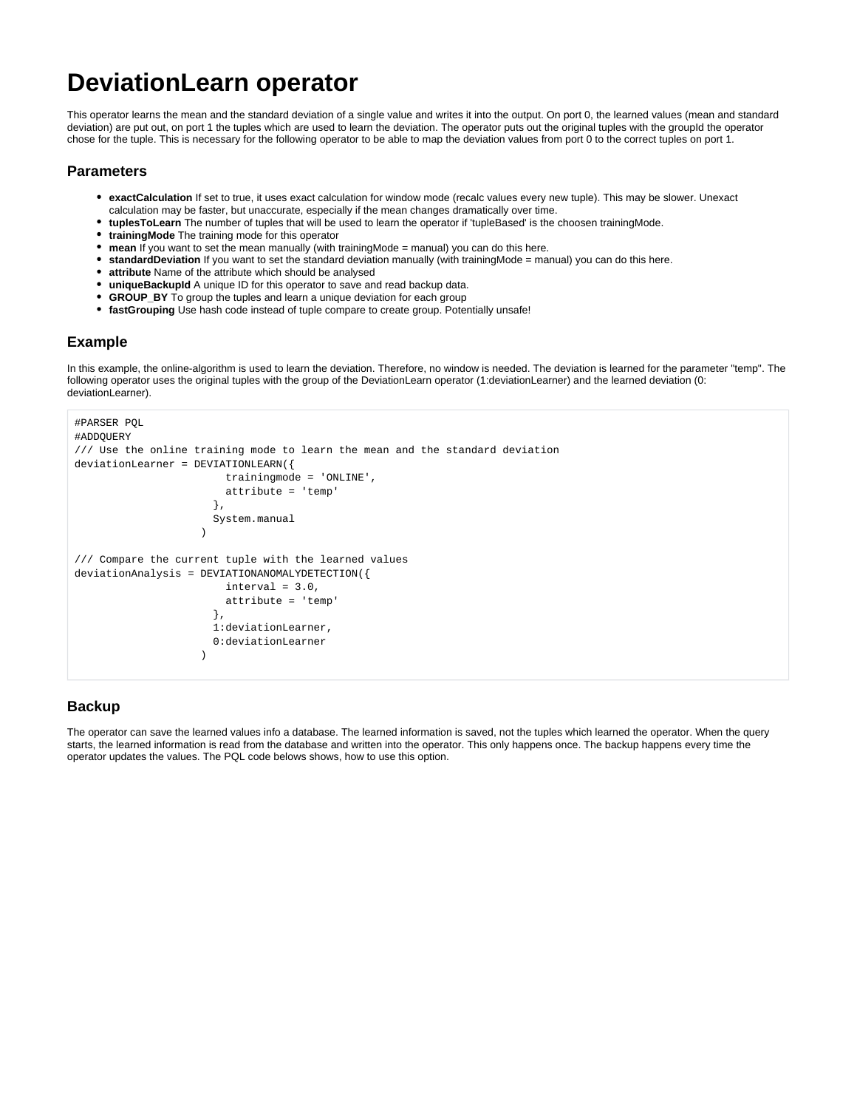## **DeviationLearn operator**

This operator learns the mean and the standard deviation of a single value and writes it into the output. On port 0, the learned values (mean and standard deviation) are put out, on port 1 the tuples which are used to learn the deviation. The operator puts out the original tuples with the groupId the operator chose for the tuple. This is necessary for the following operator to be able to map the deviation values from port 0 to the correct tuples on port 1.

## **Parameters**

- **exactCalculation** If set to true, it uses exact calculation for window mode (recalc values every new tuple). This may be slower. Unexact calculation may be faster, but unaccurate, especially if the mean changes dramatically over time.
- **tuplesToLearn** The number of tuples that will be used to learn the operator if 'tupleBased' is the choosen trainingMode.
- **trainingMode** The training mode for this operator
- **mean** If you want to set the mean manually (with trainingMode = manual) you can do this here.
- **standardDeviation** If you want to set the standard deviation manually (with trainingMode = manual) you can do this here.
- **attribute** Name of the attribute which should be analysed
- **uniqueBackupId** A unique ID for this operator to save and read backup data.
- **GROUP\_BY** To group the tuples and learn a unique deviation for each group
- **fastGrouping** Use hash code instead of tuple compare to create group. Potentially unsafe!

## **Example**

In this example, the online-algorithm is used to learn the deviation. Therefore, no window is needed. The deviation is learned for the parameter "temp". The following operator uses the original tuples with the group of the DeviationLearn operator (1:deviationLearner) and the learned deviation (0: deviationLearner).

```
#PARSER PQL
#ADDQUERY
/// Use the online training mode to learn the mean and the standard deviation
deviationLearner = DEVIATIONLEARN({
                        trainingmode = 'ONLINE',
                        attribute = 'temp'
, where the contract of \{ \} , \{ \} System.manual
 )
/// Compare the current tuple with the learned values
deviationAnalysis = DEVIATIONANOMALYDETECTION({
                        interval = 3.0,
                        attribute = 'temp'
, where the contract of \{ \} , \{ \} 1:deviationLearner,
                       0:deviationLearner
 )
```
## **Backup**

The operator can save the learned values info a database. The learned information is saved, not the tuples which learned the operator. When the query starts, the learned information is read from the database and written into the operator. This only happens once. The backup happens every time the operator updates the values. The PQL code belows shows, how to use this option.